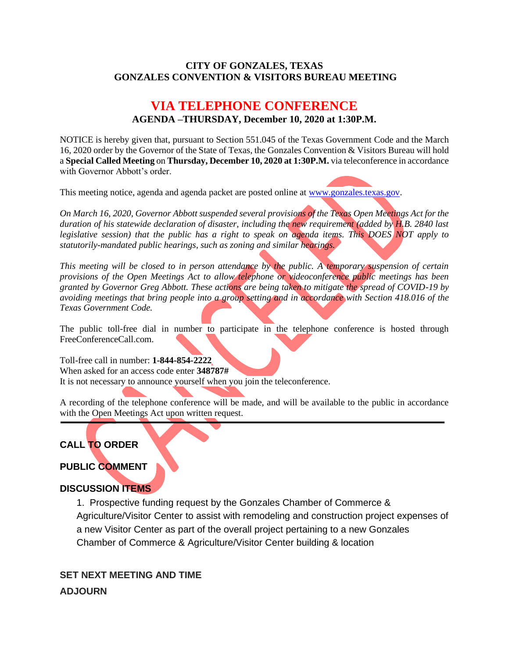#### **CITY OF GONZALES, TEXAS GONZALES CONVENTION & VISITORS BUREAU MEETING**

# **VIA TELEPHONE CONFERENCE AGENDA –THURSDAY, December 10, 2020 at 1:30P.M.**

NOTICE is hereby given that, pursuant to Section 551.045 of the Texas Government Code and the March 16, 2020 order by the Governor of the State of Texas, the Gonzales Convention & Visitors Bureau will hold a **Special Called Meeting** on **Thursday, December 10, 2020 at 1:30P.M.** via teleconference in accordance with Governor Abbott's order.

This meeting notice, agenda and agenda packet are posted online at [www.gonzales.texas.gov.](http://www.gonzales.texas.gov/)

*On March 16, 2020, Governor Abbott suspended several provisions of the Texas Open Meetings Act for the duration of his statewide declaration of disaster, including the new requirement (added by H.B. 2840 last legislative session) that the public has a right to speak on agenda items. This DOES NOT apply to statutorily-mandated public hearings, such as zoning and similar hearings.* 

*This meeting will be closed to in person attendance by the public. A temporary suspension of certain provisions of the Open Meetings Act to allow telephone or videoconference public meetings has been granted by Governor Greg Abbott. These actions are being taken to mitigate the spread of COVID-19 by avoiding meetings that bring people into a group setting and in accordance with Section 418.016 of the Texas Government Code.*

The public toll-free dial in number to participate in the telephone conference is hosted through FreeConferenceCall.com.

Toll-free call in number: **1-844-854-2222** When asked for an access code enter **348787#** It is not necessary to announce yourself when you join the teleconference.

A recording of the telephone conference will be made, and will be available to the public in accordance with the Open Meetings Act upon written request.

### **CALL TO ORDER**

### **PUBLIC COMMENT**

### **DISCUSSION ITEMS**

1. Prospective funding request by the Gonzales Chamber of Commerce & Agriculture/Visitor Center to assist with remodeling and construction project expenses of a new Visitor Center as part of the overall project pertaining to a new Gonzales Chamber of Commerce & Agriculture/Visitor Center building & location

## **SET NEXT MEETING AND TIME ADJOURN**